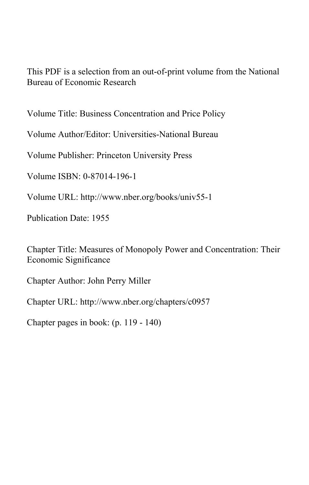This PDF is a selection from an out-of-print volume from the National Bureau of Economic Research

Volume Title: Business Concentration and Price Policy

Volume Author/Editor: Universities-National Bureau

Volume Publisher: Princeton University Press

Volume ISBN: 0-87014-196-1

Volume URL: http://www.nber.org/books/univ55-1

Publication Date: 1955

Chapter Title: Measures of Monopoly Power and Concentration: Their Economic Significance

Chapter Author: John Perry Miller

Chapter URL: http://www.nber.org/chapters/c0957

Chapter pages in book: (p. 119 - 140)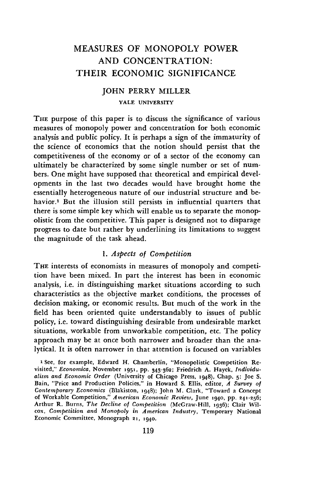# MEASURES OF MONOPOLY POWER AND CONCENTRATION: THEIR ECONOMIC SIGNIFICANCE

# JOHN PERRY MILLER YALE UNIVERSITY

THE purpose of this paper is to discuss the significance of various measures of monopoly power and concentration for both economic analysis and public policy. It is perhaps a sign of the immaturity of the Science of economics that the notion should persist that the competitiveness of the economy or of a sector of the economy can ultimately be characterized by some single number or set of numbers. One might have supposed that theoretical and empirical developments in the last two decades would have brought home the essentially heterogeneous nature of our industrial structure and behavior.<sup>1</sup> But the illusion still persists in influential quarters that there is some simple key which will enable us to separate the monopolistic from the competitive. This paper is designed not to disparage progress to date but rather by underlining its limitations to suggest the magnitude of the task ahead.

## 1. Aspects of Competition

THE interests of economists in measures of monopoly and competition have been mixed. In part the interest has been in economic analysis, i.e. in distinguishing market situations according to such characteristics as the objective market conditions, the processes of decision making, or economic results. But much of the work in the field has been oriented quite understandably to issues of public policy, i.e. toward distinguishing desirable from undesirable market situations, workable from unworkable competition, etc. The policy approach may be at once both narrower and broader than the analytical. It is often narrower in that attention is focused on variables

<sup>1</sup> See, for example, Edward H. Chamberlin, "Monopolistic Competition Re. visited," Economica, November 1951, pp. 343-362; Friedrich A. Hayek, Individualism and Economic Order (University of Chicago Press, 1948), Chap. 5; Joe S. Bain, 'Price and Production Policies," in Howard S. Ellis, editor, A Survey of Contemporary Economics (Blakiston, 1948); John M. Clark, "Toward a Concept of Workable Competition," American Economic Review, June 1940, pp. 241-256; Arthur R. Burns, The Decline of Competition (McGraw-Hill, 1936); Clair Wilcox, Competition and Monopoly in American Industry, Temporary National Economic Committee, Monograph 21, 1940.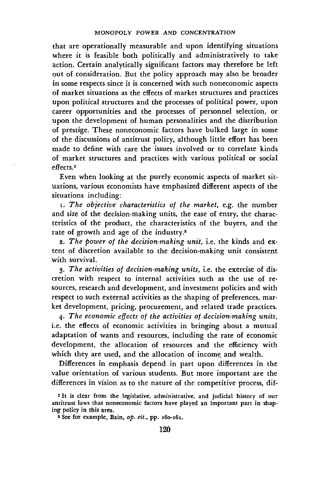that are operationally measurable and upon identifying situations where it is feasible both politically and administratively to take action. Certain analytically significant factors may therefore be left out of consideration. But the policy approach may also be broader in some respects since it is concerned with such noneconomic aspects of market situations as the effects of market structures and practices upon political structures and the processes of political power, upon career opportunities and the processes of personnel selection, or upon the development of human personalities and the distribution of prestige. These noneconomic factors have bulked large in some of the discussions of antitrust policy, although little effort has been made to define with care the issues involved or to correlate kinds of market structures and practices with various political or social effects.2

Even when looking at the purely economic aspects of market situations, various economists have emphasized different aspects of the situations including:

1. The objective characteristics of the market, e.g. the number and size of the decision-making units, the ease of entry, the characteristics of the product, the characteristics of the buyers, and the rate of growth and age of the industry.<sup>8</sup>

2. The power of the decision-making unit, i.e. the kinds and  $ex$ tent of discretion available to the decision-making unit consistent

with survival.<br>3. *The activities of decision-making units*, i.e. the exercise of dis-<br>cretion with respect to internal activities such as the use of resources, research and development, and investment policies and with respect to such external activities as the shaping of preferences, mar-<br>ket development, pricing, procurement, and related trade practices.

4. The economic effects of the activities of decision-making units, i.e. the effects of economic activities in bringing about a mutual adaptation of wants and resources, including the rate of economic development, the allocation of resources and the efficiency with which they are used, and the allocation of income, and wealth.

Differences in emphasis depend in part upon differences in the value orientation of various students. But more important are the differences in vision as to the nature of the competitive process, dif-

<sup>2</sup> It is clear from the legislative, administrative, and judicial history of our antitrust laws that noneconomic factors have played an important part in shaping policy in this area.

 $8$  See for example, Bain,  $op. cit.$ , pp.  $160-161$ .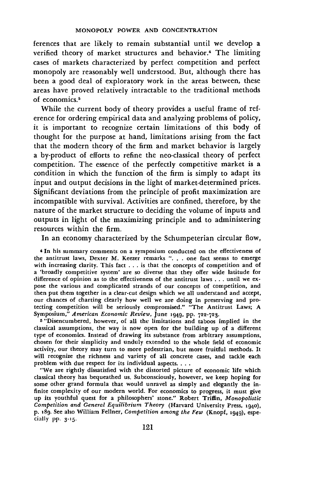ferences that are likely to remain substantial until we develop a verified theory of market structures and behavior.4 The limiting cases of markets characterized by perfect competition and perfect monopoly are reasonably well understood. But, although there has been a good deal of exploratory work in the areas between, these areas have proved relatively intractable to the traditional methods of economics.

While the current body of theory provides a useful frame of reference for ordering empirical data and analyzing problems of policy, it is important to recognize certain limitations of this body of thought for the purpose at hand, limitations arising from the fact that the modern theory of the firm and market behavior is largely a by-product of efforts to refine the neo-classical theory of perfect competition. The essence of the perfectly competitive market is a condition in which the function of the firm is simply to adapt its input and output decisions in the light of market-determined prices. Significant deviations from the principle of profit maximization are incompatible with survival. Activities are confined, therefore, by the nature of the market structure to deciding the volume of inputs and outputs in light of the maximizing principle and to administering resources within the firm.

In an economy characterized by the Schumpeterian circular flow,

<sup>4</sup> In his summary comments on a symposium conducted on the effectiveness of the antitrust laws, Dexter M. Keezer remarks ". . . one fact seems to emerge with increasing clarity. This fact . . . is that the concepts of competition and of a 'broadly competitive system' are so diverse that they offer wide latitude for difference of opinion as to the effectiveness of the antitrust laws ... until we expose the various and complicated strands of our concepts of competition, and then put them together in a clear-cut design which we all understand and accept, our chances of charting clearly how well we are doing in preserving and protecting competition will be seriously compromised." "The Antitrust Laws; A Symposium," American Economic Review, June 1949, pp. 722-723.

5 "Disencumbered, however, of all the limitations and taboos implied in the classical assumptions, the way is now open for the building up of a different type of economics. Instead of drawing its substance from arbitrary assumptions, chosen for their simplicity and unduly extended to the whole field of economic activity, our theory may turn to more pedestrian, but more fruitful methods. It will recognize the richness and variety of all concrete cases, and tackle each problem with due respect for its individual aspects. .

"We are rightly dissatisfied with the distorted picture of economic life which classical theory has bequeathed us. Subconsciously, however, we keep hoping for some other grand formula that would unravel as simply and elegantly the infinite complexity of our modern world. For economics to progress, it must give up its youthful quest for a philosophers' stone." Robert Triffin, Monopolistic Competition and General Equilibrium Theory (Harvard University Press, 1940), p. 189. See also William Fellner, Competition among the Few (Knopf, 1949), especially pp. 3-15.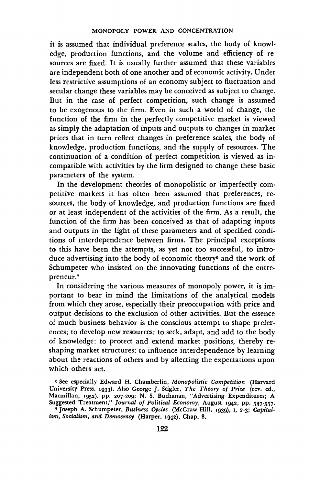it is assumed that individual preference scales, the body of knowledge, production functions, and the volume and efficiency of resources are fixed. It is usually further assumed that these variables are independent both of one another and of economic activity. Under less restrictive assumptions of an economy subject to fluctuation and secular change these variables may be conceived as subject to change. But in the case of perfect competition, such change is assumed to be exogenous to the firm. Even in such a world of change, the function of the firm in the perfectly competitive market is viewed as simply the adaptation of inputs and outputs to changes in market prices that in turn reflect changes in preference scales, the body of knowledge, production functions, and the supply of resources. The continuation of a condition of perfect competition is viewed as incompatible with activities by the firm designed to change these basic parameters of the system.

In the development theories of monopolistic or imperfectly competitive markets it has often been assumed that preferences, resources, the body of knowledge, and production functions are fixed or at least independent of the activities of the firm. As a result, the function of the firm has been conceived as that of adapting inputs and outputs in the light of these parameters and of specified conditions of interdependence between firms. The principal exceptions to this have been the attempts, as yet not too successful, to introduce advertising into the body of economic theory<sup>6</sup> and the work of Schumpeter who insisted on the innovating functions of the entrepreneur.7

In considering the various measures of monopoly power, it is important to bear in mind the limitations of the analytical models from which they arose, especially their preoccupation with price and output decisions to the exclusion of other activities. But the essence of much business behavior is the conscious attempt to shape preferences; to develop new resources; to seek, adapt, and add to the body of knowledge; to protect and extend market positions, thereby reshaping market structures; to influence interdependence by learning about the reactions of others and by affecting the expectations upon which others act.

<sup>&</sup>lt;sup>6</sup> See especially Edward H. Chamberlin, Monopolistic Competition (Harvard University Press, 1933). Also George J. Stigler, The Theory of Price (rev. ed., Macmillan, 1952), pp. 207-209; N. S. Buchanan, 'Advertising Expenditures; A Suggested Treatment," Journal of Political Economy, August 1942, pp. 537-557.

<sup>&</sup>lt;sup>7</sup> Joseph A. Schumpeter, Business Cycles (McGraw-Hill, 1939), 1, 2-3; Capitalism, Socialism, and Democracy (Harper, 1942), Chap. 8.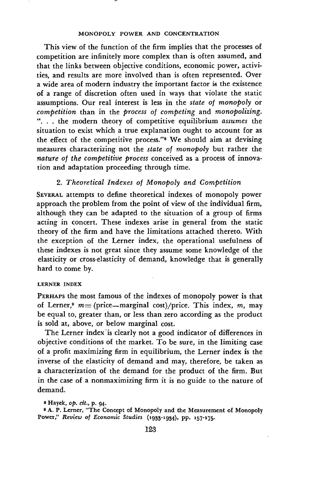This view of the function of the firm implies that the processes of competition are infinitely more complex than is often assumed, and that the links between objective conditions, economic power, activities, and results are more involved than is often represented. Over a wide area of modern industry the important factor i6 the existence of a range of discretion often used in ways that violate the static assumptions. Our real interest is less in the state of monopoly or competition than in the process of competing and monopolizing. "... the modern theory of competitive equilibrium assumes the situation to exist which a true explanation ought to account for as the effect of the competitive process."8 We should aim at devising measures characterizing not the state of monopoly but rather the nature of the competitive process conceived as a process of innovation and adaptation proceeding through time.

## 2. Theoretical Indexes of Monopoly and Competition

SEVERAL attempts to define theoretical indexes of monopoly power approach the problem from the point of view of the individual firm, although they can be adapted to the situation of a group of firms acting in concert. These indexes arise in general from the static theory of the firm and have the limitations attached thereto. With the exception of the Lerner index, the operational usefulness of these indexes is not great since they assume some knowledge of the elasticity or cross-elasticity of demand, knowledge that is generally hard to come by.

## LERNER INDEX

PERHAPS the most famous of the indexes of monopoly power is that of Lerner,<sup>9</sup>  $m=$  (price—marginal cost)/price. This index, m, may be equal to, greater than, or less than zero according as the product is sold at, above, or below marginal cost.

The Lerner index is clearly not a good indicator of differences in objective conditions of the market. To be sure, in the limiting case of a profit maximizing firm in equilibrium, the Lerner index is the inverse of the elasticity of demand and may, therefore, be taken as a characterization of the demand for the product of the firm. But in the case of a nonmaximizing firm it is no guide to the nature of demand.

8 Hayek, op. cit., p. 94.

<sup>9</sup> A. P. Lerner, "The Concept of Monopoly and the Measurement of Monopoly Power," Review of Economic Studies (1933-1934), pp. 157-175.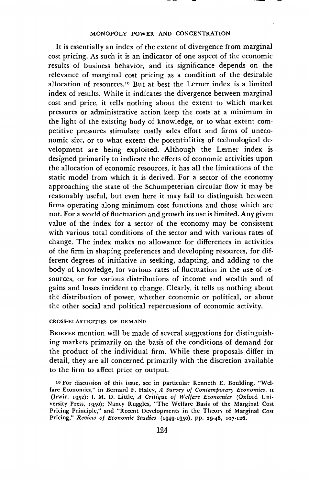It is essentially an index of the extent of divergence from marginal cost pricing. As such it is an indicator of one aspect of the economic results of business behavior, and its significance depends on the relevance of marginal cost pricing as a condition of the desirable allocation of resources.<sup>10</sup> But at best the Lerner index is a limited index of results. While it indicates the divergence between marginal cost and price, it tells nothing about the extent to which market pressures or administrative action keep the costs at a minimum in the light of the existing body of knowledge, or to what extent competitive pressures stimulate costly sales effort and firms of uneconomic size, or to what extent the potentialities of technological development are being exploited. Although the Lerner index is designed primarily to indicate the effects of economic activities upon the allocation of economic resources, it has all the limitations of the static model from which it is derived. For a sector of the economy approaching the state of the Schumpeterian circular flow it may be reasonably useful, but even here it may fail to distinguish between firms operating along minimum cost functions and those which are not. For a world of fluctuation and growth its use is limited. Any given value of the index for a sector of the economy may be consistent with various total conditions of the sector and with various rates of change. The index makes no allowance for differences in activities of the firm in shaping preferences and developing resources, for different degrees of initiative in seeking, adapting, and adding to the body of knowledge, for various rates of fluctuation in the use of resources, or for various distributions of income and wealth and of gains and losses incident to change. Clearly, it tells us nothing about the distribution of power, whether economic or political, or about the other social and political repercussions of economic activity.

## CROSS-ELASTICITIES OF DEMAND

BRIEFER mention will be made of several suggestions for distinguishing markets primarily on the basis of the conditions of demand for the product of the individual firm. While these proposals differ in detail, they are all concerned primarily with the discretion available to the firm to affect price or output.

<sup>&</sup>lt;sup>10</sup> For discussion of this issue, see in particular Kenneth E. Boulding, "Welfare Economics," in Bernard F. Haley,  $\vec{A}$  Survey of Contemporary Economics,  $\vec{\mu}$ (Irwin, 1952); I. M. D. Little, A Critique of Welfare Economics (Oxford University Press, 1950); Nancy Ruggles, 'The Welfare Basis of the Marginal Cost Pricing Principle," and "Recent Developments in the Theory of Marginal Cost Pricing," Review of Economic Studies (1949-1950), pp. 29-46, 107-126.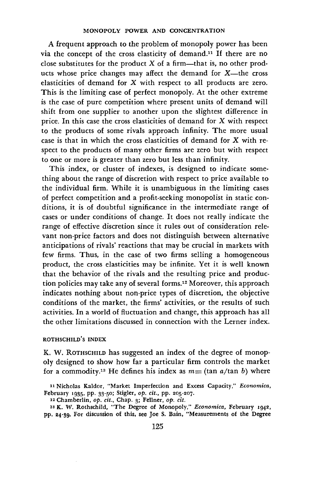A frequent approach to the problem of monopoly power has been via the concept of the cross elasticity of demand.1' If there are no close substitutes for the product  $X$  of a firm—that is, no other products whose price changes may affect the demand for X—the cross elasticities of demand for X with respect to all products are zero. This is the limiting case of perfect monopoly. At the other extreme is the case of pure competition where present units of demand will shift from one supplier to another upon the slightest difference in price. In this case the cross elasticities of demand for X with respect to the products of some rivals approach infinity. The more usual case is that in which the cross elasticities of demand for X with respect to the products of many other firms are zero but with respect to one or more is greater than zero but less than infinity.

This index, or cluster of indexes, is designed to indicate something about the range of discretion with respect to price available to the individual firm. While it is unambiguous in the limiting cases of perfect competition and a profit-seeking monopolist in static conditions, it is of doubtful significance in the intermediate range of cases or under conditions of change. It does not really indicate the range of effective discretion since it rules out of consideration relevant non-price factors and does not distinguish between alternative anticipations of rivals' reactions that may be crucial in markets with few firms. Thus, in the case of two firms selling a homogeneous product, the cross elasticities may be infinite. Yet it is well known that the behavior of the rivals and the resulting price and production policies may take any of several forms.'2 Moreover, this approach indicates nothing about non-price types of discretion, the objective conditions of the market, the firms' activities, or the results of such activities. In a world of fluctuation and change, this approach has all the other limitations discussed in connection with the Lerner index.

#### ROTHSCHILD'S INDEX

K. W. ROTHSCHILD has suggested an index of the degree of monopoly designed to show how far a particular firm controls the market for a commodity.<sup>13</sup> He defines his index as  $m = (\tan a/\tan b)$  where

<sup>11</sup> Nicholas Kaldor, "Market Imperfection and Excess Capacity," Economica, February 1935, pp. 33-50; Stigler, op. cit., pp. 205-207.

<sup>12</sup> Chamberlin, op. cit., Chap. 3; Feliner, op. cit.

<sup>28</sup> K. W. Rothschild, 'The Degree of Monopoly," Economica, February 1942, pp. 24-39. For discussion ot this, see Joe S. Bain, "Measurements of the Degree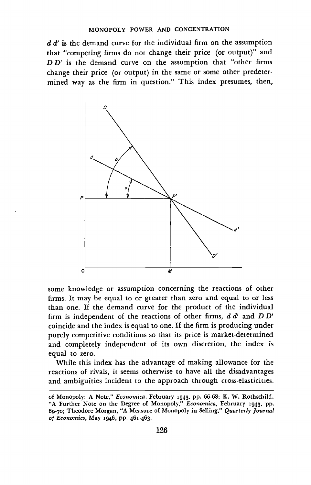$d d'$  is the demand curve for the individual firm on the assumption that "competing firms do not change their price (or output)" and  $D D'$  is the demand curve on the assumption that "other firms change their price (or output) in the same or some other predetermined way as the firm in question." This index presumes, then,



some knowledge or assumption concerning the reactions of other firms. It may be equal to or greater than zero and equal to or less than one. If the demand curve for the product of the individual firm is independent of the reactions of other firms,  $d d'$  and  $D D'$ coincide and the index is equal to one. If the firm is producing under purely competitive conditions so that its price is market-determined and completely independent of its own discretion, the index is equal to zero.

While this index has the advantage of making allowance for the reactions of rivals, it seems otherwise to have all the disadvantages and ambiguities incident to the approach through cross-elasticities.

of Monopoly: A Note," Economica, February 1943, pp. 66-68; K. W. Rothschild, "A Further Note on the Degree of Monopoly," Economica, February 1943, pp. 69-70; Theodore Morgan, "A Measure of Monopoly in Selling," Quarterly Journal of Economics, May 1946, pp. 461-463.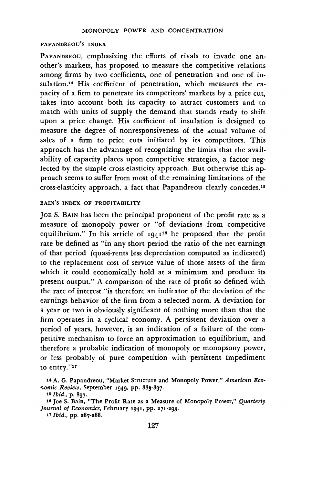#### PAPANDREOU'S INDEX

PAPANDREOU, emphasizing the efforts of rivals to invade one another's markets, has proposed to measure the competitive relations among firms by two coefficients, one of penetration and one of insulation.14 His coefficient of penetration, which measures the capacity of a firm to penetrate its competitors' markets by a price cut, takes into account both its capacity to attract customers and to match with units of supply the demand that stands ready to shift upon a price change. His coefficient of insulation is designed to measure the degree of nonresponsiveness of the actual volume of sales of a firm to price cuts initiated by its competitors. This approach has the advantage of recognizing the limits that the availability of capacity places upon competitive strategies, a factor neglected by the simple cross-elasticity approach. But otherwise this approach seems to suffer from most of the remaining limitations of the cross-elasticity approach, a fact that Papandreou clearly concedes.15

## BAIN'S INDEX OF PROFITABILITY

JOE S. BAIN has been the principal proponent of the profit rate as a measure of monopoly power or "of deviations from competitive equilibrium." In his article of 1941<sup>16</sup> he proposed that the profit rate be defined as "in any short period the ratio of the net earnings of that period (quasi-rents less depreciation computed as indicated) to the replacement cost of service value of those assets of the firm which it could economically hold at a minimum and produce its present output." A comparison of the rate of profit so defined with the rate of interest "is therefore an indicator of the deviation of the earnings behavior of the firm from a selected norm. A deviation for a year or two is obviously significant of nothing more than that the firm operates in a cyclical economy. A persistent deviation over a period of years, however, is an indication of a failure of the competitive mechanism to force an approximation to equilibrium, and therefore a probable indication of monopoly or monopsony power, or less probably of pure competition with persistent impediment to entry."17

<sup>14</sup> A. G. Papandreou, "Market Structure and Monopoly Power," American Economic Review, September 1949, pp. 883-897.

<sup>15</sup> Ibid., p. 897.

<sup>&</sup>lt;sup>16</sup> Joe S. Bain, "The Profit Rate as a Measure of Monopoly Power," Quarterly Journal of Economics, February 1941, pp. 271-293.

<sup>11</sup> Ibid., pp. 287-288.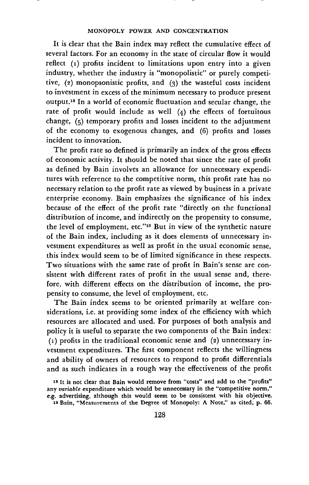It is clear that the Bain index may reflect the cumulative effect of several factors. For an economy in the state of circular flow it would reflect (1) profits incident to limitations upon entry into a given industry, whether the industry is "monopolistic" or purely competitive, (2) monopsonistic profits, and (3) the wasteful costs incident to investment in excess of the minimum necessary to produce present output.'8 In a world of economic fluctuation and secular change, the rate of profit would include as well  $(4)$  the effects of fortuitous change, (5) temporary profits and losses incident to the adjustment of the economy to exogenous changes, and (6) profits and losses incident to innovation.

The profit rate so defined is primarily an index of the gross effects of economic activity. It should be noted that since the rate of profit as defined by Bain involves an allowance for unnecessary expenditures with reference to the competitive norm, this profit rate has no necessary relation to the profit rate as viewed by business in a private enterprise economy. Bain emphasizes the significance of his index because of the effect of the profit rate "directly on the functional distribution of income, and indirectly on the propensity to consume, the level of employment, etc."<sup>19</sup> But in view of the synthetic nature of the Bain index, including as it does elements of unnecessary investment expenditures as well as profit in the usual economic sense, this index would seem to be of limited significance in these respects. Two situations with the same rate of profit in Bain's sense are consistent with different rates of profit in the usual sense and, therefore, with different effects on the distribution of income, the propensity to consume, the level of employment, etc.

The Bain index seems to be oriented primarily at welfare considerations, i.e. at providing some index of the efficiency with which resources are allocated and used. For purposes of both analysis and policy it is useful to separate the two components of the Bain index:  $(1)$  profits in the traditional economic sense and (2) unnecessary investment expenditures. The first component reflects the willingness and ability of owners of resources to respond to profit differentials and as such indicates in a rough way the effectiveness of the profit

<sup>18</sup> It is not clear that Bain would remove from "costs" and add to the "profits" any variable expenditure which would be unnecessary in the "competitive norm," e.g. advertising, although this would seem to be consistent with his objective. <sup>19</sup> Bain, "Measurements of the Degree of Monopoly: A Note," as cited, p. 66.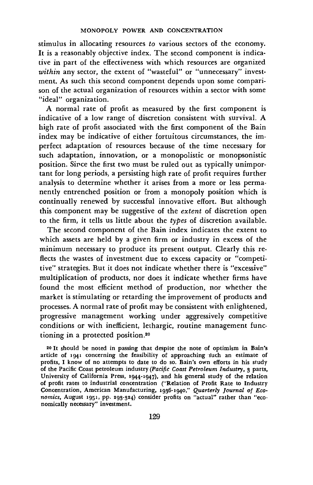stimulus in allocating resources to various sectors of the economy. It is a reasonably objective index. The second component is indicative in part of the effectiveness with which resources are organized within any sector, the extent of "wasteful" or "unnecessary" investment. As such this second component depends upon some comparison of the actual organization of resources within a sector with some "ideal" organization.

A normal rate of profit as measured by the first component is indicative of a low range of discretion consistent with survival. A high rate of profit associated with the first component of the Bain index may be indicative of either fortuitous circumstances, the imperfect adaptation of resources because of the time necessary for such adaptation, innovation, or a monopolistic or monopsonistic position. Since the first two must be ruled out as typically unimportant for long periods, a persisting high rate of profit requires further analysis to determine whether it arises from a more or less permanently entrenched position or from a monopoly position which is continually renewed by successful innovative effort. But although this component may be suggestive of the extent of discretion open to the firm, it tells us little about the types of discretion available.

The second component of the Bain index indicates the extent to which assets are held by a given firm or industry in excess of the minimum necessary to produce its present output. Clearly this reflects the wastes of investment due to excess capacity or "competitive" strategies. But it does not indicate whether there is "excessive" multiplication of products, nor does it indicate whether firms have found the most efficient method of production, nor whether the market is stimulating or retarding the improvement of products and processes. A normal rate of profit may be consistent with enlightened, progressive management working under aggressively competitive conditions or with inefficient, lethargic, routine management functioning in a protected position.20

<sup>20</sup> L should be noted in passing that despite the note of optimism in Bain's article of 1941 concerning the feasibility of approaching such an estimate of profits, I know of no attempts to date to do so. Bain's own efforts in his study of the Pacific Coast petroleum industry (Pacific Coast Petroleum Industry, 3 parts, University of California Press, 1944-1947), and his general study of the relation of profit rates to industrial concentration ('Relation of Profit Rate to Industry Concentration, American Manufacturing, 1936-1940," Quarterly Journal of Economics, August 1951, pp. 293-324) consider profits on "actual" rather than "economically necessary" investment.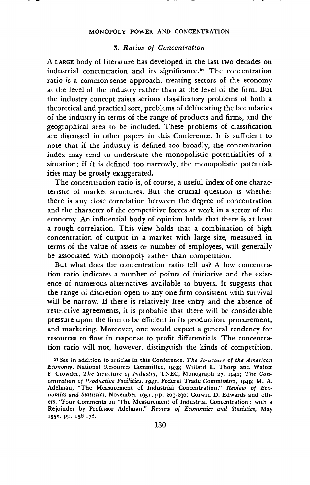## 3. Ratios of Concentration

A LARGE body of literature has developed in the last two decades on industrial concentration and its significance.<sup>21</sup> The concentration ratio is a common-sense approach, treating sectors of the economy at the level of the industry rather than at the level of the firm. But the industry concept raises serious classificatory problems of both a theoretical and practical sort, problems of delineating the boundaries of the industry in terms of the range of products and firms, and the geographical area to be included. These problems of classification are discussed in other papers in this Conference. It is sufficient to note that if the industry is defined too broadly, the concentration index may tend to understate the monopolistic potentialities of a situation; if it is defined too narrowly, the monopolistic potential. ities may be grossly exaggerated.

The concentration ratio is, of course, a useful index of one characteristic of market structures. But the crucial question is whether there is any close correlation between the degree of concentration and the character of the competitive forces at work in a sector of the economy. An influential body of opinion holds that there is at least a rough correlation. This view holds that a combination of high concentration of output in a market with large size, measured in terms of the value of assets or number of employees, will generally be associated with monopoly rather than competition.

But what does the concentration ratio tell us? A low concentration ratio indicates a number of points of initiative and the existence of numerous alternatives available to buyers. It suggests that the range of discretion open to any one firm consistent with survival will be narrow. If there is relatively free entry and the absence of restrictive agreements, it is probable that there will be considerable pressure upon the firm to be efficient in its production, procurement, and marketing. Moreover, one would expect a general tendency for resources to flow in response to profit differentials. The concentration ratio will not, however, distinguish the kinds of competition,

<sup>21</sup> See in addition to articles in this Conference, The Structure of the American Economy, National Resources Committee, 1939; Willard L. Thorp and Walter F. Crowder, The Structure of Industry, TNEC, Monograph 27, 1941; The Concentration of Productive Facilities,  $1947$ , Federal Trade Commission, 1949; M. A. Adelman, "The Measurement of Industrial Concentration," Review of Economics and Statistics, November 1951, pp. 269-296; Corwin D. Edwards and others, "Four Comments on 'The Measurement of Industrial Concentration'; with a Rejoinder by Professor Adelman," Review of Economics and Statistics, May 1952, pp. 156-178.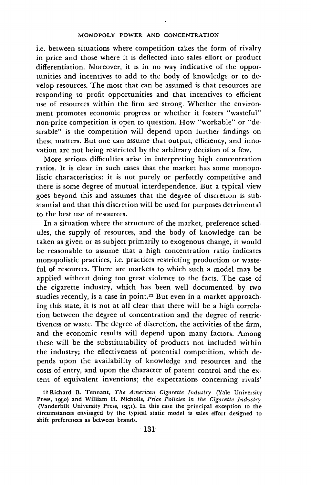i.e. between situations where competition takes the form of rivalry in price and those where it is deflected into sales effort or product differentiation. Moreover, it is in no way indicative of the opportunities and incentives to add to the body of knowledge or to develop resources. The most that can be assumed is that resources are responding to profit opportunities and that incentives to efficient use of resources within the firm are strong. Whether the environment promotes economic progress or whether it fosters "wasteful" non-price competition is open to question. How "workable" or "desirable" is the competition will depend upon further findings on these matters. But one can assume that output, efficiency, and innovation are not being restricted by the arbitrary decision of a few.

More serious difficulties arise in interpreting high concentration ratios. It is clear in such cases that the market has some monopolistic characteristics: it is not purely or perfectly competitive and there is some degree of mutual interdependence. But a typical view goes beyond this and assumes that the degree of discretion is substantial and that this discretion will be used for purposes detrimental to the best use of resources.

In a situation where the structure of the market, preference schedules, the supply of resources, and the body of knowledge can be taken as given or as subject primarily to exogenous change, it would be reasonable to assume that a high concentration ratio indicates monopolistic practices, i.e. practices restricting production or wasteful of resources. There are markets to which such a model may be applied without doing too great violence to the facts. The case of the cigarette industry, which has been well documented by two studies recently, is a case in point.<sup>22</sup> But even in a market approaching this state, it is not at all clear that there will be a high correlation between the degree of concentration and the degree of restrictiveness or waste. The degree of discretion, the activities of the firm, and the economic results will depend upon many factors. Among these will be the substitutability of products not included within the industry; the effectiveness of potential competition, which depends upon the availability of knowledge and resources and the costs of entry, and upon the character of patent control and the extent of equivalent inventions; the expectations concerning rivals'

<sup>22</sup> Richard B. Tennant, The American Cigarette Industry (Yale University Press, 1950) and William H. Nicholls, Price Policies in the Cigarette Industry (Vanderbilt University Press, 1951). In this case the principal exception to the circumstances envisaged by the typical static model is sales effort designed to shift preferences as between brands.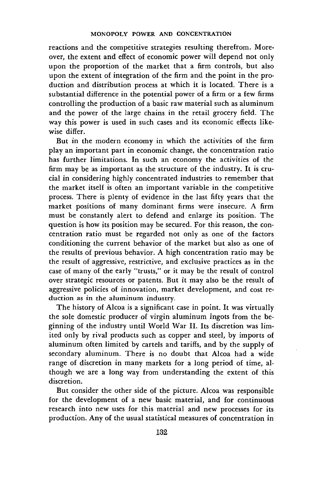reactions and the competitive strategies resulting therefrom. Moreover, the extent and effect of economic power will depend not only upon the proportion of the market that a firm controls, but also upon the extent of integration of the firm and the point in the production and distribution process at which it is located. There is a substantial difference in the potential power of a firm or a few firms controlling the production of a basic raw material such as aluminum and the power of the large chains in the retail grocery field. The way this power is used in such cases and its economic effects likewise differ.

But in the modern economy in which the activities of the firm play an important part in economic change, the concentration ratio has further limitations. In such an economy the activities of the firm may be as important as the structure of the industry. It is crucial in considering highly concentrated industries to remember that the market itself is often an important variable in the competitive process. There is plenty of evidence in the last fifty years that the market positions of many dominant firms were insecure. A firm must be constantly alert to defend and enlarge its position. The question is how its position may be secured. For this reason, the concentration ratio must be regarded not only as one of the factors conditioning the current behavior of the market but also as one of the results of previous behavior. A high concentration ratio may be the result of aggressive, restrictive, and exclusive practices as in the case of many of the early "trusts," or it may be the result of control over strategic resources or patents. But it may also be the result of aggressive policies of innovation, market development, and cost reduction as in the aluminum industry.

The history of Alcoa is a significant case in point. It was virtually the sole domestic producer of virgin aluminum ingots from the beginning of the industry until World War II. Its discretion was limited only by rival products such as copper and steel, by imports of aluminum often limited by cartels and tariffs, and by the supply of secondary aluminum. There is no doubt that Alcoa had a wide range of discretion in many markets for a long period of time, although we are a long way from understanding the extent of this discretion.

But consider the other side of the picture. Alcoa was responsible for the development of a new basic material, and for continuous research into new uses for this material and new processes for its production. Any of the usual statistical measures of concentration in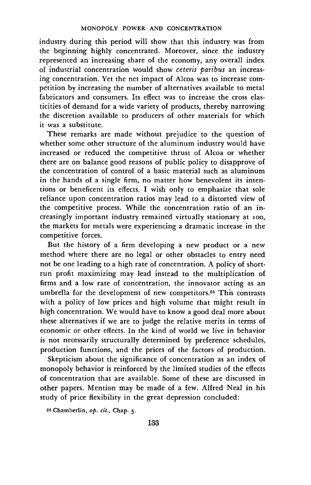industry during this period will show that this industry was from the beginning highly concentrated. Moreover, since the industry represented an increasing share of the economy, any overall index of industrial concentration would show ceteris paribus an increasing concentration. Yet the net impact of Alcoa was to increase competition by increasing the number of alternatives available to metal fabricators and consumers. Its effect was to increase the cross elasticities of demand for a wide variety of products, thereby narrowing the discretion available to producers of other materials for which it was a substitute.

These remarks are made without prejudice to the question of whether some other structure of the aluminum industry would have increased or reduced the competitive thrust of Alcoa or whether there are on balance good reasons of public policy to disapprove of the concentration of control of a basic material such as aluminum in the hands of a single firm, no matter how benevolent its intentions or beneficent its effects. I wish only to emphasize that sole reliance upon concentration ratios may lead to a distorted view of the competitive process. While the concentration ratio of an increasingly important industry remained virtually stationary at ioo, the markets for metals were experiencing a dramatic increase in the competitive forces.

But the history of a firm developing a new product or a new method where there are no legal or other obstacles to entry need not be one leading to a high rate of concentration. A policy of shortrun profit maximizing may lead instead to the multiplication of firms and a low rate of concentration, the innovator acting as an umbrella for the development of new competitors.23 This contrasts with a policy of low prices and high volume that might result in high concentration. We would have to know a good deal more about these alternatives if we are to judge the relative merits in terms of economic or other effects. In the kind of world we live in behavior is not necessarily structurally determined by preference schedules, production functions, and the prices of the factors of production.

Skepticism about the significance of concentration as an index of monopoly behavior is reinforced by the limited studies of the effects of concentration that are available. Some of these are discussed in other papers. Mention may be made of a few. Alfred Neal in his study of price flexibility in the great depression concluded:

<sup>23</sup> Chamberlin, op. cit., Chap. 5.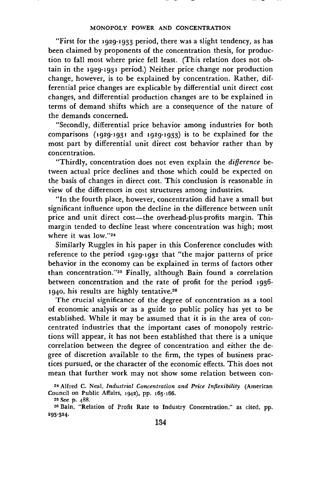"First for the 1929-1933 period, there was a slight tendency, as has been claimed by proponents of the concentration thesis, for production to fall most where price fell least. (This relation does not obtain in the 1929-1931 period.) Neither price change nor production change, however, is to be explained by concentration. Rather, differential price changes are explicable by differential unit direct cost changes, and differential production changes are to be explained in terms of demand shifts which are a consequence of the nature of the demands concerned.

"Secondly, differential price behavior among industries for both comparisons (1929-1931 and 1929.1933) is to be explained for the most part by differential unit direct cost behavior rather than by concentration.

"Thirdly, concentration does not even explain the difference between actual price declines and those which could be expected on the basis of changes in direct cost. This conclusion is reasonable in view of the differences in cost structures among industries.

"In the fourth place, however, concentration did have a small but significant influence upon the decline in the difference between unit price and unit direct cost—the overhead-plus-profits margin. This margin tended to decline least where concentration was high; most where it was low."24

Similarly Ruggles in his paper in this Conference concludes with reference to the period 1929-1932 that "the major patterns of price behavior in the economy can be explained in terms of factors other than concentration."<sup>25</sup> Finally, although Bain found a correlation between concentration and the rate of profit for the period 1936. 1940, his results are highly tentative.<sup>26</sup>

The crucial significance of the degree of concentration as a tool of economic analysis or as a guide to public policy has yet to be established. While it may be assumed that it is in the area of concentrated industries that the important cases of monopoly restrictions will appear, it has not been established that there is a unique correlation between the degree of concentration and either the degree of discretion available to the firm, the types of business prac. tices pursued, or the character of the economic effects. This does not mean that further work may not show some relation between con-

<sup>24</sup> Alfred C. Neal, Industrial Concentration and Price Inflexibility (American Council on Public Affairs, 1942), pp. 165-166.

<sup>25</sup> See p. 488

<sup>26</sup> Bain, 'Relation of Profit Rate to Industry Concentration," as cited, pp. 293-324.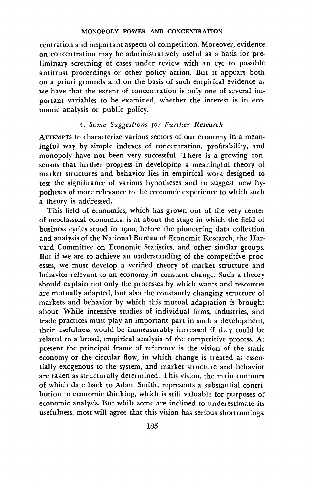centration and important aspects of competition. Moreover, evidence on concentration may be administratively useful as a basis for preliminary screening of cases under review with an eye to possible antitrust proceedings or other policy action. But it appears both on a priori grounds and on the basis of such empirical evidence as we have that the extent of concentration is only one of several important variables to be examined, whether the interest is in economic analysis or public policy.

# 4. Some Suggestions for Further Research

ATrEMPTS to characterize various sectors of our economy in a meaningful way by simple indexes of concentration, profitability, and monopoly have not been very successful. There is a growing consensus that further progress in developing a meaningful theory of market structures and behavior lies in empirical work designed to test the significance of various hypotheses and to suggest new hypotheses of more relevance to the economic experience to which such a theory is addressed.

This field of economics, which has grown out of the very center of neoclassical economics, is at about the stage in which the field of business cycles stood in 1900, before the pioneering data collection and analysis of the National Bureau of Economic Research, the Harvard Committee on Economic Statistics, and other similar groups. But if we are to achieve an understanding of the competitive processes, we must develop a verified theory of market structure and behavior relevant to an economy in constant change. Such a theory should explain not only the processes by which wants and resources are mutually adapted, but also the constantly changing structure of markets and behavior by which this mutual adaptation is brought about. While intensive studies of individual firms, industries, and trade practices must play an important part in such a development, their usefulness would be immeasurably increased if they could be related to a broad, empirical analysis of the competitive process. At present the principal frame of reference is the vision of the static economy or the circular flow, in which change is treated as essentially exogenous to the system, and market structure and behavior are taken as structurally determined. This vision, the main contours of which date back to Adam Smith, represents a substantial contribution to economic thinking, which is still valuable for purposes of economic analysis. But while some are inclined to underestimate its usefulness, most will agree that this vision has serious shortcomings.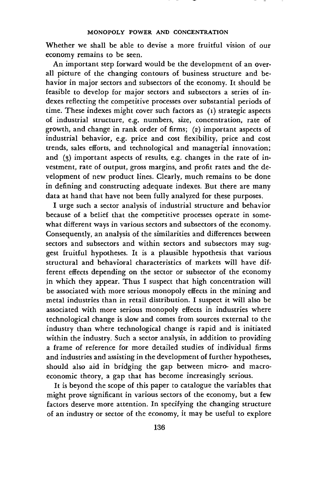Whether we shall be able to devise a more fruitful vision of our economy remains to be seen.

An important step forward would be the development of an overall picture of the changing contours of business structure and behavior in major sectors and subsectors of the economy. It should be feasible to develop for major sectors and subsectors a series of indexes reflecting the competitive processes over substantial periods of time. These indexes might cover such factors as (i) strategic aspects of industrial structure, e.g. numbers, size, concentration, rate of growth, and change in rank order of firms; (2) important aspects of industrial behavior, e.g. price and cost flexibility, price and cost trends, sales efforts, and technological and managerial innovation; and  $(3)$  important aspects of results, e.g. changes in the rate of investment, rate of output, gross margins, and profit rates and the development of new product lines. Clearly, much remains to be done in defining and constructing adequate indexes. But there are many data at hand that have not been fully analyzed for these purposes.

I urge such a sector analysis of industrial structure and behavior because of a belief that the competitive processes operate in somewhat different ways in various sectors and subsectors of the economy. Consequently, an analysis of the similarities and differences between sectors and subsectors and within sectors and subsectors may suggest fruitful hypotheses. It is a plausible hypothesis that various structural and behavioral characteristics of markets will have different effects depending on the sector or subsector of the economy in which they appear. Thus I suspect that high concentration will be associated with more serious monopoly effects in the mining and metal industries than in retail distribution. I suspect it will also be associated with more serious monopoly effects in industries where technological change is slow and comes from sources external to the industry than where technological change is rapid and is initiated within the industry. Such a sector analysis, in addition to providing a frame of reference for more detailed studies of individual firms and industries and assisting in the development of further hypotheses, should also aid in bridging the gap between micro- and macroeconomic theory, a gap that has become increasingly serious.

It is beyond the scope of this paper to catalogue the variables that might prove significant in various sectors of the economy, but a few factors deserve more attention. In specifying the changing structure of an industry or sector of the economy, it may be useful to explore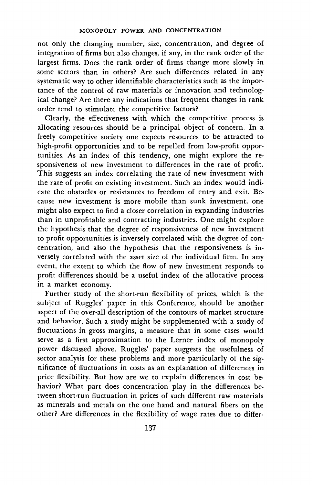not only the changing number, size, concentration, and degree of integration of firms but also changes, if any, in the rank order of the largest firms. Does the rank order of firms change more slowly in some sectors than in others? Are such differences related in any systematic way to other identifiable characteristics such as the importance of the control of raw materials or innovation and technological change? Are there any indications that frequent changes in rank order tend to stimulate the competitive factors?

Clearly, the effectiveness with which the competitive process is allocating resources should be a principal object of concern. In a freely competitive society one expects resources to be attracted to high-profit opportunities and to be repelled from low-profit opportunities. As an index of this tendency, one might explore the responsiveness of new investment to differences in the rate of profit. This suggests an index correlating the rate of new investment with the rate of profit on existing investment. Such an index would indicate the obstacles or resistances to freedom of entry and exit. Because new investment is more mobile than sunk investment, one might also expect to find a closer correlation in expanding industries than in unprofitable and contracting industries. One might explore the hypothesis that the degree of responsiveness of new investment to profit opportunities is inversely correlated with the degree of concentration, and also the hypothesis that the responsiveness is inversely correlated with the asset size of the individual firm. In any event, the extent to which the flow of new investment responds to profit differences should be a useful index of the allocative process in a market economy.

Further study of the short-run flexibility of prices, which is the subject of Ruggles' paper in this Conference, should be another aspect of the over-all description of the contours of market structure and behavior. Such a study might be supplemented with a study of fluctuations in gross margins, a measure that in some cases would serve as a first approximation to the Lerner index of monopoly power discussed above. Ruggles' paper suggests the usefulness of sector analysis for these problems and more particularly of the significance of fluctuations in costs as an explanation of differences in price flexibility. But how are we to explain differences in cost behavior? What part does concentration play in the differences between short-run fluctuation in prices of such different raw materials as minerals and metals on the one hand and natural fibers on the other? Are differences in the flexibility of wage rates due to differ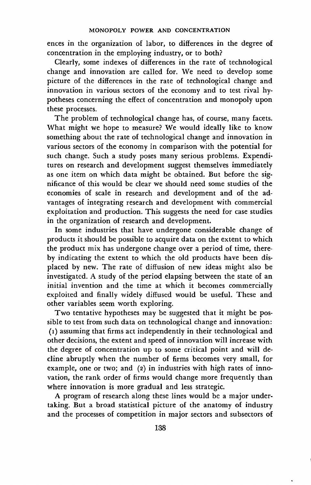ences in the organization of labor, to differences in the degree of concentration in the employing industry, or to both?

Clearly, some indexes of differences in the rate of technological change and innovation are called for. We need to develop some picture of the differences in the rate of technological change and innovation in various sectors of the economy and to test rival hypotheses concerning the effect of concentration and monopoly upon these processes.

The problem of technological change has, of course, many facets. What might we hope to measure? We would ideally like to know something about the rate of technological change and innovation in various sectors of the economy in comparison with the potential for such change. Such a study poses many serious problems. Expenditures on research and development suggest themselves immediately as one item on which data might be obtained. But before the significance of this would be clear we should need some studies of the economies of scale in research and development and of the advantages of integrating research and development with commercial exploitation and production. This suggests the need for case studies in the organization of research and development.

In some industries that have undergone considerable change of products it should be possible to acquire data on the extent to which the product mix has undergone change over a period of time, thereby indicating the extent to which the old products have been displaced by new. The rate of diffusion of new ideas might also be investigated. A study of the period elapsing between the state of an initial invention and the time at which it becomes commercially exploited and finally widely diffused would be useful. These and other variables seem worth exploring.

Two tentative hypotheses may be suggested that it might be possible to test from such data on technological change and innovation: (i) assuming that firms act independently in their technological and other decisions, the extent and speed of innovation will increase with the degree of concentration up to some critical point and will decline abruptly when the number of firms becomes very small, for example, one or two; and (2) in industries with high rates of innovation, the rank order of firms would change more frequently than where innovation is more gradual and less strategic.

A program of research along these lines would be a major undertaking. But a broad statistical picture of the anatomy of industry and the processes of competition in major sectors and subsectors of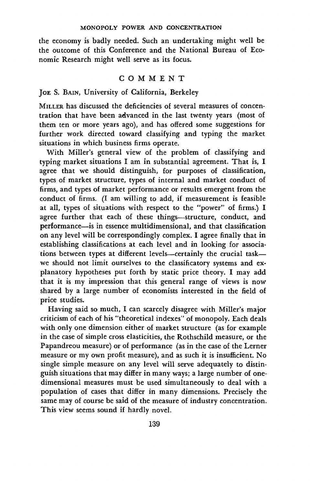the economy is badly needed. Such an undertaking might well be the outcome of this Conference and the National Bureau of Economic Research might well serve as its focus.

#### COMMENT

## JoE S. BAIN, University of California, Berkeley

MILLER has discussed the deficiencies of several measures of concentration that have been advanced in the last twenty years (most of them ten or more years ago), and has offered some suggestions for further work directed toward classifying and typing the market situations in which business firms operate.

With Miller's general view of the problem of classifying and typing market situations I am in substantial agreement. That is, I agree that we should distinguish, for purposes of classification, types of market structure, types of internal and market conduct of firms, and types of market performance or results emergent from the conduct of firms. (I am willing to add, if measurement is feasible at all, types of situations with respect to the "power" of firms.) I agree further that each of these things—structure, conduct, and performance—is in essence multidimensional, and that classification on any level will be correspondingly complex. I agree finally that in establishing classifications at each level and in looking for associations between types at different levels\_—certainly the crucial task we should not limit ourselves to the classificatory systems and explanatory hypotheses put forth by static price theory. I may add that it is my impression that this general range of views is now shared by a large number of economists interested in the field of price studies.

Having said so much, I can scarcely disagree with Miller's major criticism of each of his "theoretical indexes" of monopoly. Each deals with only one dimension either of market structure (as for example in the case of simple cross elasticities, the Rothschild measure, or the Papandreou measure) or of performance (as in the case of the Lerner measure or my own profit measure), and as such it is insufficient. No single simple measure on any level will serve adequately to distinguish situations that may differ in many ways; a large number of onedimensional measures must be used simultaneously to deal with a population of cases that differ in many dimensions. Precisely the same may of course be said of the measure of industry concentration. This view seems sound if hardly novel.